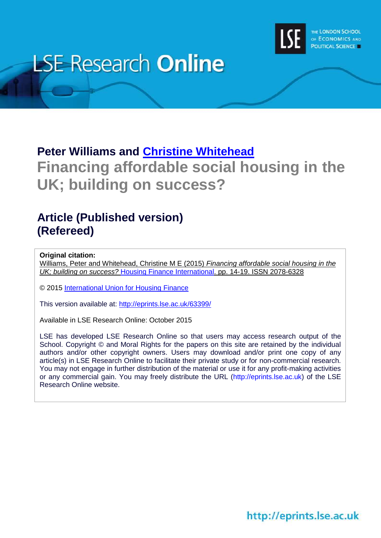

# **LSE Research Online**

### **Peter Williams and [Christine Whitehead](http://www.lse.ac.uk/researchAndExpertise/Experts/profile.aspx?KeyValue=c.m.e.whitehead@lse.ac.uk) Financing affordable social housing in the UK; building on success?**

### **Article (Published version) (Refereed)**

#### **Original citation:**

Williams, Peter and Whitehead, Christine M E (2015) *Financing affordable social housing in the UK; building on success?* [Housing Finance International.](http://www.housingfinance.org/publications/housing-finance-international) pp. 14-19. ISSN 2078-6328

© 2015 [International Union for Housing Finance](http://www.housingfinance.org/)

This version available at:<http://eprints.lse.ac.uk/63399/>

Available in LSE Research Online: October 2015

LSE has developed LSE Research Online so that users may access research output of the School. Copyright © and Moral Rights for the papers on this site are retained by the individual authors and/or other copyright owners. Users may download and/or print one copy of any article(s) in LSE Research Online to facilitate their private study or for non-commercial research. You may not engage in further distribution of the material or use it for any profit-making activities or any commercial gain. You may freely distribute the URL (http://eprints.lse.ac.uk) of the LSE Research Online website.

http://eprints.lse.ac.uk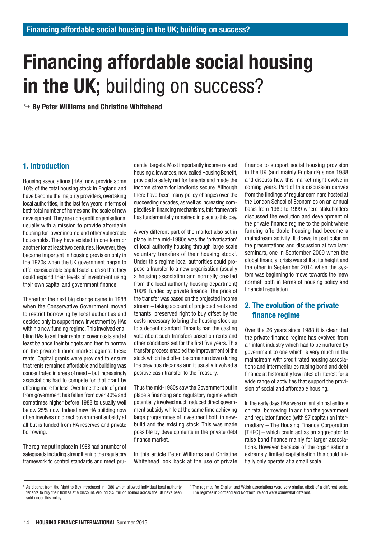## Financing affordable social housing in the UK; building on success?

 $\rightarrow$  By Peter Williams and Christine Whitehead

#### 1. Introduction

Housing associations [HAs] now provide some 10% of the total housing stock in England and have become the majority providers, overtaking local authorities, in the last few years in terms of both total number of homes and the scale of new development. They are non-profit organisations, usually with a mission to provide affordable housing for lower income and other vulnerable households. They have existed in one form or another for at least two centuries. However, they became important in housing provision only in the 1970s when the UK government began to offer considerable capital subsidies so that they could expand their levels of investment using their own capital and government finance.

Thereafter the next big change came in 1988 when the Conservative Government moved to restrict borrowing by local authorities and decided only to support new investment by HAs within a new funding regime. This involved enabling HAs to set their rents to cover costs and at least balance their budgets and then to borrow on the private finance market against these rents. Capital grants were provided to ensure that rents remained affordable and building was concentrated in areas of need – but increasingly associations had to compete for that grant by offering more for less. Over time the rate of grant from government has fallen from over 90% and sometimes higher before 1988 to usually well below 25% now. Indeed new HA building now often involves no direct government subsidy at all but is funded from HA reserves and private borrowing.

The regime put in place in 1988 had a number of safeguards including strengthening the regulatory framework to control standards and meet prudential targets. Most importantly income related housing allowances, now called Housing Benefit, provided a safety net for tenants and made the income stream for landlords secure. Although there have been many policy changes over the succeeding decades, as well as increasing complexities in financing mechanisms, this framework has fundamentally remained in place to this day.

A very different part of the market also set in place in the mid-1980s was the 'privatisation' of local authority housing through large scale voluntary transfers of their housing stock<sup>1</sup>. Under this regime local authorities could propose a transfer to a new organisation (usually a housing association and normally created from the local authority housing department) 100% funded by private finance. The price of the transfer was based on the projected income stream – taking account of projected rents and tenants' preserved right to buy offset by the costs necessary to bring the housing stock up to a decent standard. Tenants had the casting vote about such transfers based on rents and other conditions set for the first five years. This transfer process enabled the improvement of the stock which had often become run down during the previous decades and it usually involved a positive cash transfer to the Treasury.

Thus the mid-1980s saw the Government put in place a financing and regulatory regime which potentially involved much reduced direct government subsidy while at the same time achieving large programmes of investment both in newbuild and the existing stock. This was made possible by developments in the private debt finance market.

In this article Peter Williams and Christine Whitehead look back at the use of private finance to support social housing provision in the UK (and mainly England<sup>2</sup>) since 1988 and discuss how this market might evolve in coming years. Part of this discussion derives from the findings of regular seminars hosted at the London School of Economics on an annual basis from 1989 to 1999 where stakeholders discussed the evolution and development of the private finance regime to the point where funding affordable housing had become a mainstream activity. It draws in particular on the presentations and discussion at two later seminars, one in September 2009 when the global financial crisis was still at its height and the other in September 2014 when the system was beginning to move towards the 'new normal' both in terms of housing policy and financial regulation.

#### 2. The evolution of the private finance regime

Over the 26 years since 1988 it is clear that the private finance regime has evolved from an infant industry which had to be nurtured by government to one which is very much in the mainstream with credit rated housing associations and intermediaries raising bond and debt finance at historically low rates of interest for a wide range of activities that support the provision of social and affordable housing.

In the early days HAs were reliant almost entirely on retail borrowing. In addition the government and regulator funded (with £7 capital) an intermediary – The Housing Finance Corporation [THFC] – which could act as an aggregator to raise bond finance mainly for larger associations. However because of the organisation's extremely limited capitalisation this could initially only operate at a small scale.

<sup>&</sup>lt;sup>1</sup> As distinct from the Right to Buy introduced in 1980 which allowed individual local authority tenants to buy their homes at a discount. Around 2.5 million homes across the UK have been sold under this policy.

<sup>&</sup>lt;sup>2</sup> The regimes for English and Welsh associations were very similar, albeit of a different scale. The regimes in Scotland and Northern Ireland were somewhat different.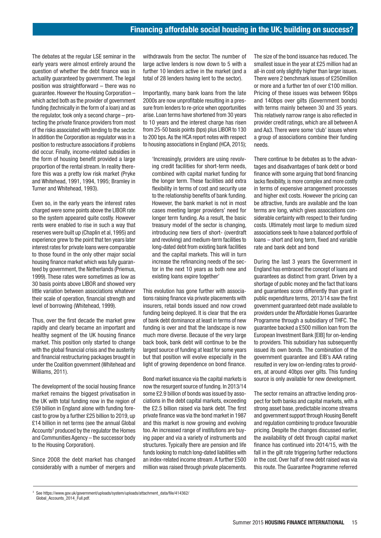The debates at the regular LSE seminar in the early years were almost entirely around the question of whether the debt finance was in actuality guaranteed by government. The legal position was straightforward – there was no guarantee. However the Housing Corporation – which acted both as the provider of government funding (technically in the form of a loan) and as the regulator, took only a second charge – protecting the private finance providers from most of the risks associated with lending to the sector. In addition the Corporation as regulator was in a position to restructure associations if problems did occur. Finally, income-related subsidies in the form of housing benefit provided a large proportion of the rental stream. In reality therefore this was a pretty low risk market (Pryke and Whitehead, 1991, 1994, 1995; Bramley in Turner and Whitehead, 1993).

Even so, in the early years the interest rates charged were some points above the LIBOR rate so the system appeared quite costly. However rents were enabled to rise in such a way that reserves were built up (Chaplin et al, 1995) and experience grew to the point that ten years later interest rates for private loans were comparable to those found in the only other major social housing finance market which was fully guaranteed by government, the Netherlands (Priemus, 1999). These rates were sometimes as low as 30 basis points above LIBOR and showed very little variation between associations whatever their scale of operation, financial strength and level of borrowing (Whitehead, 1999).

Thus, over the first decade the market grew rapidly and clearly became an important and healthy segment of the UK housing finance market. This position only started to change with the global financial crisis and the austerity and financial restructuring packages brought in under the Coalition government (Whitehead and Williams, 2011).

The development of the social housing finance market remains the biggest privatisation in the UK with total funding now in the region of £59 billion in England alone with funding forecast to grow by a further £25 billion to 2019, up £14 billion in net terms (see the annual Global Accounts<sup>3</sup> produced by the regulator the Homes and Communities Agency – the successor body to the Housing Corporation).

Since 2008 the debt market has changed considerably with a number of mergers and

withdrawals from the sector. The number of large active lenders is now down to 5 with a further 10 lenders active in the market (and a total of 28 lenders having lent to the sector).

Importantly, many bank loans from the late 2000s are now unprofitable resulting in a pressure from lenders to re-price when opportunities arise. Loan terms have shortened from 30 years to 10 years and the interest charge has risen from 25-50 basis points (bps) plus LIBOR to 130 to 200 bps. As the HCA report notes with respect to housing associations in England (HCA, 2015);

'Increasingly, providers are using revolving credit facilities for short-term needs, combined with capital market funding for the longer term. These facilities add extra flexibility in terms of cost and security use to the relationship benefits of bank funding. However, the bank market is not in most cases meeting larger providers' need for longer term funding. As a result, the basic treasury model of the sector is changing, introducing new tiers of short- (overdraft and revolving) and medium-term facilities to long-dated debt from existing bank facilities and the capital markets. This will in turn increase the refinancing needs of the sector in the next 10 years as both new and existing loans expire together'

This evolution has gone further with associations raising finance via private placements with insurers, retail bonds issued and now crowd funding being deployed. It is clear that the era of bank debt dominance at least in terms of new funding is over and that the landscape is now much more diverse. Because of the very large back book, bank debt will continue to be the largest source of funding at least for some years but that position will evolve especially in the light of growing dependence on bond finance.

Bond market issuance via the capital markets is now the resurgent source of funding. In 2013/14 some £2.9 billion of bonds was issued by associations in the debt capital markets, exceeding the £2.5 billion raised via bank debt. The first private finance was via the bond market in 1987 and this market is now growing and evolving too. An increased range of institutions are buying paper and via a variety of instruments and structures. Typically there are pension and life funds looking to match long-dated liabilities with an index-related income stream. A further £500 million was raised through private placements. The size of the bond issuance has reduced. The smallest issue in the year at £25 million had an all-in cost only slightly higher than larger issues. There were 2 benchmark issues of £250million or more and a further ten of over £100 million. Pricing of these issues was between 95bps and 140bps over gilts (Government bonds) with terms mainly between 30 and 35 years. This relatively narrow range is also reflected in provider credit ratings, which are all between A and Aa3. There were some 'club' issues where a group of associations combine their funding needs.

There continue to be debates as to the advantages and disadvantages of bank debt or bond finance with some arguing that bond financing lacks flexibility, is more complex and more costly in terms of expensive arrangement processes and higher exit costs. However the pricing can be attractive, funds are available and the loan terms are long, which gives associations considerable certainty with respect to their funding costs. Ultimately most large to medium sized associations seek to have a balanced portfolio of loans – short and long term, fixed and variable rate and bank debt and bond

During the last 3 years the Government in England has embraced the concept of loans and guarantees as distinct from grant. Driven by a shortage of public money and the fact that loans and guarantees score differently than grant in public expenditure terms, 2013/14 saw the first government guaranteed debt made available to providers under the Affordable Homes Guarantee Programme through a subsidiary of THFC. The guarantee backed a £500 million loan from the European Investment Bank [EIB] for on-lending to providers. This subsidiary has subsequently issued its own bonds. The combination of the government guarantee and EIB's AAA rating resulted in very low on-lending rates to providers, at around 40bps over gilts. This funding source is only available for new development.

The sector remains an attractive lending prospect for both banks and capital markets, with a strong asset base, predictable income streams and government support through Housing Benefit and regulation combining to produce favourable pricing. Despite the changes discussed earlier, the availability of debt through capital market finance has continued into 2014/15, with the fall in the gilt rate triggering further reductions in the cost. Over half of new debt raised was via this route. The Guarantee Programme referred

<sup>3</sup> See https://www.gov.uk/government/uploads/system/uploads/attachment\_data/file/414362/ Global\_Accounts\_2014\_Full.pdf.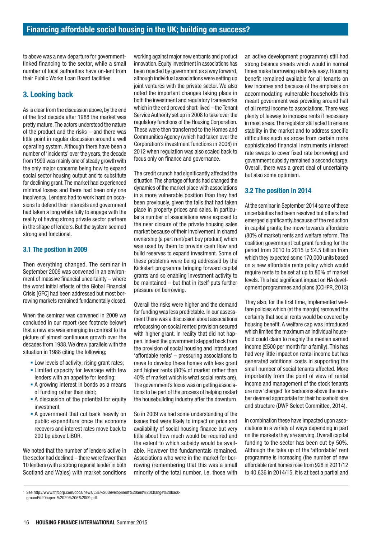to above was a new departure for governmentlinked financing to the sector, while a small number of local authorities have on-lent from their Public Works Loan Board facilities.

#### 3. Looking back

As is clear from the discussion above, by the end of the first decade after 1988 the market was pretty mature. The actors understood the nature of the product and the risks – and there was little point in regular discussion around a well operating system. Although there have been a number of 'incidents' over the years, the decade from 1999 was mainly one of steady growth with the only major concerns being how to expand social sector housing output and to substitute for declining grant. The market had experienced minimal losses and there had been only one insolvency. Lenders had to work hard on occasions to defend their interests and government had taken a long while fully to engage with the reality of having strong private sector partners in the shape of lenders. But the system seemed strong and functional.

#### 3.1 The position in 2009

Then everything changed. The seminar in September 2009 was convened in an environment of massive financial uncertainty – where the worst initial effects of the Global Financial Crisis [GFC] had been addressed but most borrowing markets remained fundamentally closed.

When the seminar was convened in 2009 we concluded in our report (see footnote below4 ) that a new era was emerging in contrast to the picture of almost continuous growth over the decades from 1988. We drew parallels with the situation in 1988 citing the following;

- **-** Low levels of activity; rising grant rates;
- **Example 1** Limited capacity for leverage with few lenders with an appetite for lending;
- A growing interest in bonds as a means of funding rather than debt;
- **A** discussion of the potential for equity investment;
- **A** government that cut back heavily on public expenditure once the economy recovers and interest rates move back to 200 bp above LIBOR.

We noted that the number of lenders active in the sector had declined – there were fewer than 10 lenders (with a strong regional lender in both Scotland and Wales) with market conditions working against major new entrants and product innovation. Equity investment in associations has been rejected by government as a way forward, although individual associations were setting up joint ventures with the private sector. We also noted the important changes taking place in both the investment and regulatory frameworks which in the end proved short-lived – the Tenant Service Authority set up in 2008 to take over the regulatory functions of the Housing Corporation. These were then transferred to the Homes and Communities Agency (which had taken over the Corporation's investment functions in 2008) in 2012 when regulation was also scaled back to focus only on finance and governance.

The credit crunch had significantly affected the situation. The shortage of funds had changed the dynamics of the market place with associations in a more vulnerable position than they had been previously, given the falls that had taken place in property prices and sales. In particular a number of associations were exposed to the near closure of the private housing sales market because of their involvement in shared ownership (a part rent/part buy product) which was used by them to provide cash flow and build reserves to expand investment. Some of these problems were being addressed by the Kickstart programme bringing forward capital grants and so enabling investment activity to be maintained – but that in itself puts further pressure on borrowing.

Overall the risks were higher and the demand for funding was less predictable. In our assessment there was a discussion about associations refocussing on social rented provision secured with higher grant. In reality that did not happen, indeed the government stepped back from the provision of social housing and introduced 'affordable rents' – pressuring associations to move to develop these homes with less grant and higher rents (80% of market rather than 40% of market which is what social rents are). The government's focus was on getting associations to be part of the process of helping restart the housebuilding industry after the downturn.

So in 2009 we had some understanding of the issues that were likely to impact on price and availability of social housing finance but very little about how much would be required and the extent to which subsidy would be available. However the fundamentals remained. Associations who were in the market for borrowing (remembering that this was a small minority of the total number, i.e. those with

an active development programme) still had strong balance sheets which would in normal times make borrowing relatively easy. Housing benefit remained available for all tenants on low incomes and because of the emphasis on accommodating vulnerable households this meant government was providing around half of all rental income to associations. There was plenty of leeway to increase rents if necessary in most areas. The regulator still acted to ensure stability in the market and to address specific difficulties such as arose from certain more sophisticated financial instruments (interest rate swaps to cover fixed rate borrowing) and government subsidy remained a second charge. Overall, there was a great deal of uncertainty but also some optimism.

#### 3.2 The position in 2014

At the seminar in September 2014 some of these uncertainties had been resolved but others had emerged significantly because of the reduction in capital grants; the move towards affordable (80% of market) rents and welfare reform. The coalition government cut grant funding for the period from 2010 to 2015 to £4.5 billion from which they expected some 170,000 units based on a new affordable rents policy which would require rents to be set at up to 80% of market levels. This had significant impact on HA development programmes and plans (CCHPR, 2013)

They also, for the first time, implemented welfare policies which (at the margin) removed the certainty that social rents would be covered by housing benefit. A welfare cap was introduced which limited the maximum an individual household could claim to roughly the median earned income (£500 per month for a family). This has had very little impact on rental income but has generated additional costs in supporting the small number of social tenants affected. More importantly from the point of view of rental income and management of the stock tenants are now 'charged' for bedrooms above the number deemed appropriate for their household size and structure (DWP Select Committee, 2014).

In combination these have impacted upon associations in a variety of ways depending in part on the markets they are serving. Overall capital funding to the sector has been cut by 50%. Although the take up of the 'affordable' rent programme is increasing (the number of new affordable rent homes rose from 928 in 2011/12 to 40,636 in 2014/15, it is at best a partial and

<sup>4</sup> See http://www.thfcorp.com/docs/news/LSE%20Development%20and%20Change%20background%20paper-%2029%206%2009.pdf.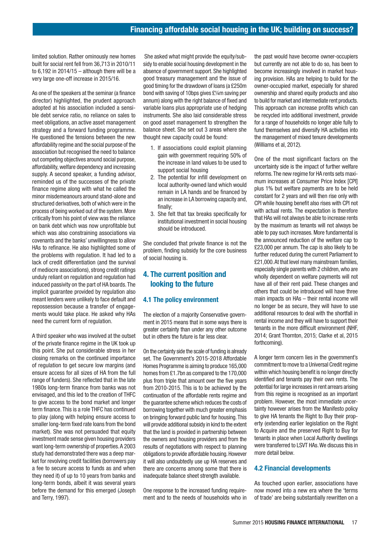limited solution. Rather ominously new homes built for social rent fell from 36,713 in 2010/11 to 6,192 in 2014/15 – although there will be a very large one-off increase in 2015/16.

As one of the speakers at the seminar (a finance director) highlighted, the prudent approach adopted at his association included a sensible debt service ratio, no reliance on sales to meet obligations, an active asset management strategy and a forward funding programme. He questioned the tensions between the new affordability regime and the social purpose of the association but recognised the need to balance out competing objectives around social purpose, affordability, welfare dependency and increasing supply. A second speaker, a funding advisor, reminded us of the successes of the private finance regime along with what he called the minor misdemeanours around stand-alone and structured derivatives, both of which were in the process of being worked out of the system. More critically from his point of view was the reliance on bank debt which was now unprofitable but which was also constraining associations via covenants and the banks' unwillingness to allow HAs to refinance. He also highlighted some of the problems with regulation. It had led to a lack of credit differentiation (and the survival of mediocre associations), strong credit ratings unduly reliant on regulation and regulation had induced passivity on the part of HA boards. The implicit guarantee provided by regulation also meant lenders were unlikely to face default and repossession because a transfer of engagements would take place. He asked why HAs need the current form of regulation.

A third speaker who was involved at the outset of the private finance regime in the UK took up this point. She put considerable stress in her closing remarks on the continued importance of regulation to get secure low margins (and ensure access for all sizes of HA from the full range of funders). She reflected that in the late 1980s long-term finance from banks was not envisaged, and this led to the creation of THFC to give access to the bond market and longer term finance. This is a role THFC has continued to play (along with helping ensure access to smaller long-term fixed rate loans from the bond market). She was not persuaded that equity investment made sense given housing providers want long-term ownership of properties. A 2003 study had demonstrated there was a deep market for revolving credit facilities (borrowers pay a fee to secure access to funds as and when they need it) of up to 10 years from banks and long-term bonds, albeit it was several years before the demand for this emerged (Joseph and Terry, 1997).

 She asked what might provide the equity/subsidy to enable social housing development in the absence of government support. She highlighted good treasury management and the issue of good timing for the drawdown of loans (a £250m bond with saving of 10bps gives £¼m saving per annum) along with the right balance of fixed and variable loans plus appropriate use of hedging instruments. She also laid considerable stress on good asset management to strengthen the balance sheet. She set out 3 areas where she thought new capacity could be found:

- 1. If associations could exploit planning gain with government requiring 50% of the increase in land values to be used to support social housing
- 2. The potential for infill development on local authority-owned land which would remain in LA hands and be financed by an increase in LA borrowing capacity and, finally;
- 3. She felt that tax breaks specifically for institutional investment in social housing should be introduced.

She concluded that private finance is not the problem, finding subsidy for the core business of social housing is.

#### 4. The current position and looking to the future

#### 4.1 The policy environment

The election of a majority Conservative government in 2015 means that in some ways there is greater certainty than under any other outcome but in others the future is far less clear.

On the certainty side the scale of funding is already set. The Government's 2015-2018 Affordable Homes Programme is aiming to produce 165,000 homes from £1.7bn as compared to the 170,000 plus from triple that amount over the five years from 2010-2015. This is to be achieved by the continuation of the affordable rents regime and the guarantee scheme which reduces the costs of borrowing together with much greater emphasis on bringing forward public land for housing. This will provide additional subsidy in kind to the extent that the land is provided in partnership between the owners and housing providers and from the results of negotiations with respect to planning obligations to provide affordable housing. However it will also undoubtedly use up HA reserves and there are concerns among some that there is inadequate balance sheet strength available.

One response to the increased funding requirement and to the needs of households who in the past would have become owner-occupiers but currently are not able to do so, has been to become increasingly involved in market housing provision. HAs are helping to build for the owner-occupied market, especially for shared ownership and shared equity products and also to build for market and intermediate rent products. This approach can increase profits which can be recycled into additional investment, provide for a range of households no longer able fully to fund themselves and diversify HA activities into the management of mixed tenure developments (Williams et al, 2012).

One of the most significant factors on the uncertainty side is the impact of further welfare reforms. The new regime for HA rents sets maximum increases at Consumer Price Index [CPI] plus 1% but welfare payments are to be held constant for 2 years and will then rise only with CPI while housing benefit also rises with CPI not with actual rents. The expectation is therefore that HAs will not always be able to increase rents by the maximum as tenants will not always be able to pay such increases. More fundamental is the announced reduction of the welfare cap to £23,000 per annum. The cap is also likely to be further reduced during the current Parliament to £21,000. At that level many mainstream families, especially single parents with 2 children, who are wholly dependent on welfare payments will not have all of their rent paid. These changes and others that could be introduced will have three main impacts on HAs – their rental income will no longer be as secure, they will have to use additional resources to deal with the shortfall in rental income and they will have to support their tenants in the more difficult environment (NHF, 2014; Grant Thornton, 2015; Clarke et al, 2015 forthcoming).

A longer term concern lies in the government's commitment to move to a Universal Credit regime within which housing benefit is no longer directly identified and tenants pay their own rents. The potential for large increases in rent arrears arising from this regime is recognised as an important problem. However, the most immediate uncertainty however arises from the Manifesto policy to give HA tenants the Right to Buy their property (extending earlier legislation on the Right to Acquire and the preserved Right to Buy for tenants in place when Local Authority dwellings were transferred to LSVT HAs. We discuss this in more detail below.

#### 4.2 Financial developments

As touched upon earlier, associations have now moved into a new era where the 'terms of trade' are being substantially rewritten on a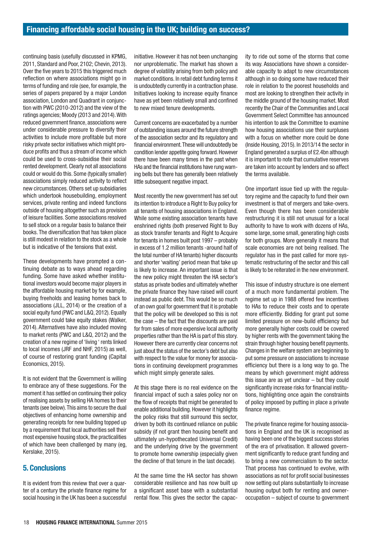continuing basis (usefully discussed in KPMG, 2011, Standard and Poor, 2102; Chevin, 2013). Over the five years to 2015 this triggered much reflection on where associations might go in terms of funding and role (see, for example, the series of papers prepared by a major London association, London and Quadrant in conjunction with PWC (2010-2012) and the view of the ratings agencies; Moody (2013 and 2014). With reduced government finance, associations were under considerable pressure to diversify their activities to include more profitable but more risky private sector initiatives which might produce profits and thus a stream of income which could be used to cross-subsidise their social rented development. Clearly not all associations could or would do this. Some (typically smaller) associations simply reduced activity to reflect new circumstances. Others set up subsidiaries which undertook housebuilding, employment services, private renting and indeed functions outside of housing altogether such as provision of leisure facilities. Some associations resolved to sell stock on a regular basis to balance their books. The diversification that has taken place is still modest in relation to the stock as a whole but is indicative of the tensions that exist.

These developments have prompted a continuing debate as to ways ahead regarding funding. Some have asked whether institutional investors would become major players in the affordable housing market by for example, buying freeholds and leasing homes back to associations (JLL, 2014) or the creation of a social equity fund (PWC and L&Q, 2012). Equally government could take equity stakes (Walker, 2014). Alternatives have also included moving to market rents (PWC and L&Q, 2012) and the creation of a new regime of 'living ' rents linked to local incomes (JRF and NHF, 2015) as well, of course of restoring grant funding (Capital Economics, 2015).

It is not evident that the Government is willing to embrace any of these suggestions. For the moment it has settled on continuing their policy of realising assets by selling HA homes to their tenants (see below). This aims to secure the dual objectives of enhancing home ownership and generating receipts for new building topped up by a requirement that local authorities sell their most expensive housing stock, the practicalities of which have been challenged by many (eg, Kerslake, 2015).

#### 5. Conclusions

It is evident from this review that over a quarter of a century the private finance regime for social housing in the UK has been a successful

initiative. However it has not been unchanging nor unproblematic. The market has shown a degree of volatility arising from both policy and market conditions. In retail debt funding terms it is undoubtedly currently in a contraction phase. Initiatives looking to increase equity finance have as yet been relatively small and confined to new mixed tenure developments.

Current concerns are exacerbated by a number of outstanding issues around the future strength of the association sector and its regulatory and financial environment. These will undoubtedly be condition lender appetite going forward. However there have been many times in the past when HAs and the financial institutions have rung warning bells but there has generally been relatively little subsequent negative impact.

Most recently the new government has set out its intention to introduce a Right to Buy policy for all tenants of housing associations in England. While some existing association tenants have enshrined rights (both preserved Right to Buy as stock transfer tenants and Right to Acquire for tenants in homes built post 1997 – probably in excess of 1.2 million tenants -around half of the total number of HA tenants) higher discounts and shorter 'waiting' period mean that take up is likely to increase. An important issue is that the new policy might threaten the HA sector's status as private bodies and ultimately whether the private finance they have raised will count instead as public debt. This would be so much of an own goal for government that it is probable that the policy will be developed so this is not the case – the fact that the discounts are paid for from sales of more expensive local authority properties rather than the HA is part of this story. However there are currently clear concerns not just about the status of the sector's debt but also with respect to the value for money for associations in continuing development programmes which might simply generate sales.

At this stage there is no real evidence on the financial impact of such a sales policy nor on the flow of receipts that might be generated to enable additional building. However it highlights the policy risks that still surround this sector, driven by both its continued reliance on public subsidy (if not grant then housing benefit and ultimately un-hypothecated Universal Credit) and the underlying drive by the government to promote home ownership (especially given the decline of that tenure in the last decade).

At the same time the HA sector has shown considerable resilience and has now built up a significant asset base with a substantial rental flow. This gives the sector the capacity to ride out some of the storms that come its way. Associations have shown a considerable capacity to adapt to new circumstances although in so doing some have reduced their role in relation to the poorest households and most are looking to strengthen their activity in the middle ground of the housing market. Most recently the Chair of the Communities and Local Government Select Committee has announced his intention to ask the Committee to examine how housing associations use their surpluses with a focus on whether more could be done (Inside Housing, 2015). In 2013/14 the sector in England generated a surplus of £2.4bn although it is important to note that cumulative reserves are taken into account by lenders and so affect the terms available.

One important issue tied up with the regulatory regime and the capacity to fund their own investment is that of mergers and take-overs. Even though there has been considerable restructuring it is still not unusual for a local authority to have to work with dozens of HAs, some large, some small, generating high costs for both groups. More generally it means that scale economies are not being realised. The regulator has in the past called for more systematic restructuring of the sector and this call is likely to be reiterated in the new environment.

This issue of industry structure is one element of a much more fundamental problem. The regime set up in 1988 offered few incentives to HAs to reduce their costs and to operate more efficiently. Bidding for grant put some limited pressure on new-build efficiency but more generally higher costs could be covered by higher rents with the government taking the strain through higher housing benefit payments. Changes in the welfare system are beginning to put some pressure on associations to increase efficiency but there is a long way to go. The means by which government might address this issue are as yet unclear – but they could significantly increase risks for financial institutions, highlighting once again the constraints of policy imposed by putting in place a private finance regime.

The private finance regime for housing associations in England and the UK is recognised as having been one of the biggest success stories of the era of privatisation. It allowed government significantly to reduce grant funding and to bring a new commercialism to the sector. That process has continued to evolve, with associations as not for profit social businesses now setting out plans substantially to increase housing output both for renting and owneroccupation – subject of course to government